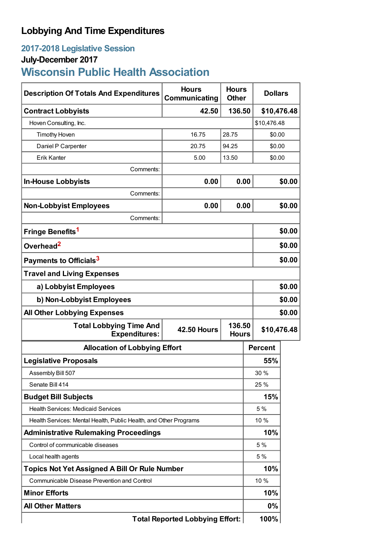## **Lobbying And Time Expenditures**

## **2017-2018 Legislative Session**

# **July-December 2017**

# **Wisconsin Public Health Association**

| <b>Description Of Totals And Expenditures</b>                                | <b>Hours</b><br>Communicating | <b>Hours</b><br><b>Other</b> | <b>Dollars</b> |        |
|------------------------------------------------------------------------------|-------------------------------|------------------------------|----------------|--------|
| <b>Contract Lobbyists</b>                                                    | 42.50                         | 136.50                       | \$10,476.48    |        |
| Hoven Consulting, Inc.                                                       |                               |                              | \$10,476.48    |        |
| <b>Timothy Hoven</b>                                                         | 16.75                         | 28.75                        | \$0.00         |        |
| Daniel P Carpenter                                                           | 20.75                         | 94.25                        | \$0.00         |        |
| <b>Erik Kanter</b>                                                           | 5.00                          | 13.50                        | \$0.00         |        |
| Comments:                                                                    |                               |                              |                |        |
| <b>In-House Lobbyists</b>                                                    | 0.00                          | 0.00                         |                | \$0.00 |
| Comments:                                                                    |                               |                              |                |        |
| <b>Non-Lobbyist Employees</b>                                                | 0.00                          | 0.00                         |                | \$0.00 |
| Comments:                                                                    |                               |                              |                |        |
| Fringe Benefits <sup>1</sup>                                                 |                               |                              |                | \$0.00 |
| Overhead <sup>2</sup>                                                        |                               |                              | \$0.00         |        |
| Payments to Officials <sup>3</sup>                                           |                               |                              | \$0.00         |        |
| <b>Travel and Living Expenses</b>                                            |                               |                              |                |        |
| a) Lobbyist Employees                                                        |                               |                              | \$0.00         |        |
| b) Non-Lobbyist Employees                                                    |                               |                              | \$0.00         |        |
| <b>All Other Lobbying Expenses</b>                                           |                               |                              |                | \$0.00 |
| <b>Total Lobbying Time And</b><br><b>42.50 Hours</b><br><b>Expenditures:</b> |                               | 136.50<br><b>Hours</b>       | \$10,476.48    |        |
| <b>Allocation of Lobbying Effort</b>                                         |                               |                              | <b>Percent</b> |        |
| <b>Legislative Proposals</b>                                                 |                               |                              | 55%            |        |
| Assembly Bill 507                                                            |                               |                              | 30 %           |        |
| Senate Bill 414                                                              |                               |                              | 25 %           |        |
| <b>Budget Bill Subjects</b>                                                  |                               |                              | 15%            |        |
| <b>Health Services: Medicaid Services</b>                                    |                               |                              | 5 %            |        |
| Health Services: Mental Health, Public Health, and Other Programs            |                               |                              | 10 %           |        |
| <b>Administrative Rulemaking Proceedings</b>                                 |                               |                              | 10%            |        |
| Control of communicable diseases                                             |                               |                              | 5 %            |        |
| Local health agents                                                          |                               |                              | 5 %            |        |
| <b>Topics Not Yet Assigned A Bill Or Rule Number</b>                         |                               |                              | 10%            |        |
| Communicable Disease Prevention and Control                                  |                               |                              | 10 %           |        |
| <b>Minor Efforts</b>                                                         |                               |                              | 10%            |        |
| <b>All Other Matters</b>                                                     |                               |                              | 0%             |        |
| <b>Total Reported Lobbying Effort:</b>                                       |                               |                              | 100%           |        |